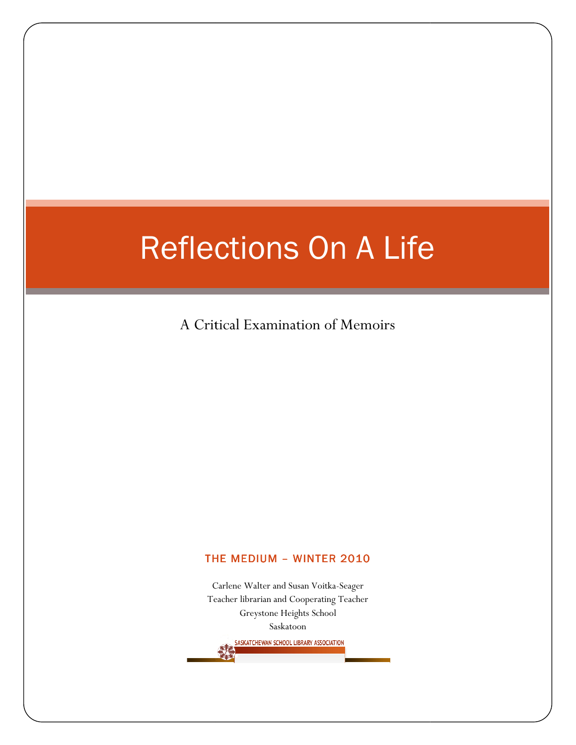A Critical Examination of Memoirs

#### THE MEDIUM - WINTER 2010

Carlene Walter and Susan Voitka Carlene and Susan Voitka-Seager Teacher librarian and Cooperating Teacher Greystone Heights School Saskatoon SASKATCHEWAN SCHOOL LIBRARY ASSOCIATION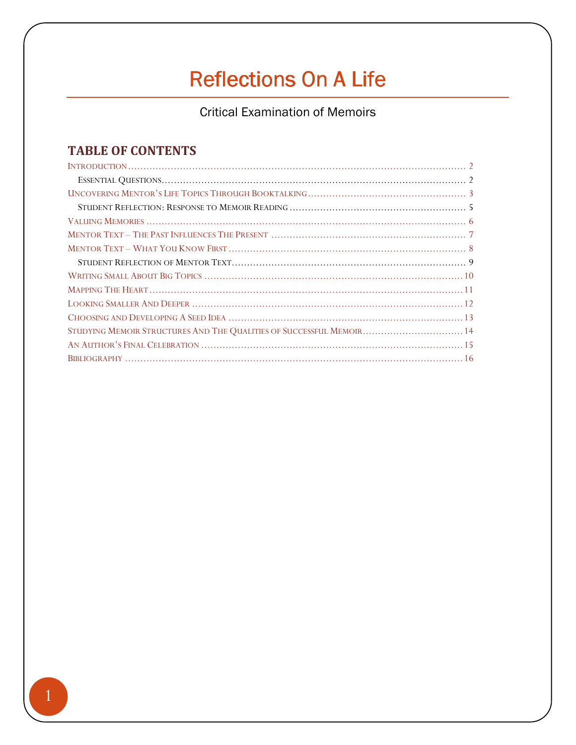**Critical Examination of Memoirs** 

## **TABLE OF CONTENTS**

| STUDYING MEMOIR STRUCTURES AND THE QUALITIES OF SUCCESSFUL MEMOIR 14 |  |
|----------------------------------------------------------------------|--|
|                                                                      |  |
|                                                                      |  |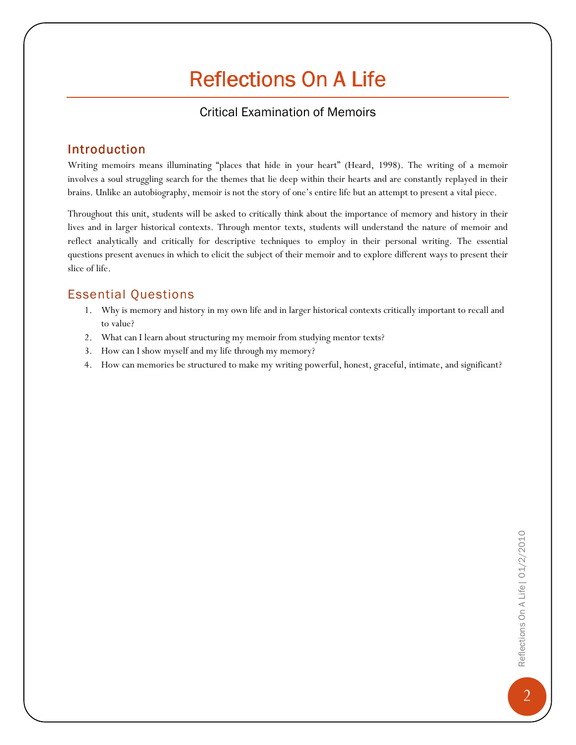### Critical Examination of Memoirs

### Introduction

Writing memoirs means illuminating "places that hide in your heart" (Heard, 1998). The writing of a memoir involves a soul struggling search for the themes that lie deep within their hearts and are constantly replayed in their brains. Unlike an autobiography, memoir is not the story of one's entire life but an attempt to present a vital piece.

Throughout this unit, students will be asked to critically think about the importance of memory and history in their lives and in larger historical contexts. Through mentor texts, students will understand the nature of memoir and reflect analytically and critically for descriptive techniques to employ in their personal writing. The essential questions present avenues in which to elicit the subject of their memoir and to explore different ways to present their slice of life.

### Essential Questions

- 1. Why is memory and history in my own life and in larger historical contexts critically important to recall and to value?
- 2. What can I learn about structuring my memoir from studying mentor texts?
- 3. How can I show myself and my life through my memory?
- 4. How can memories be structured to make my writing powerful, honest, graceful, intimate, and significant?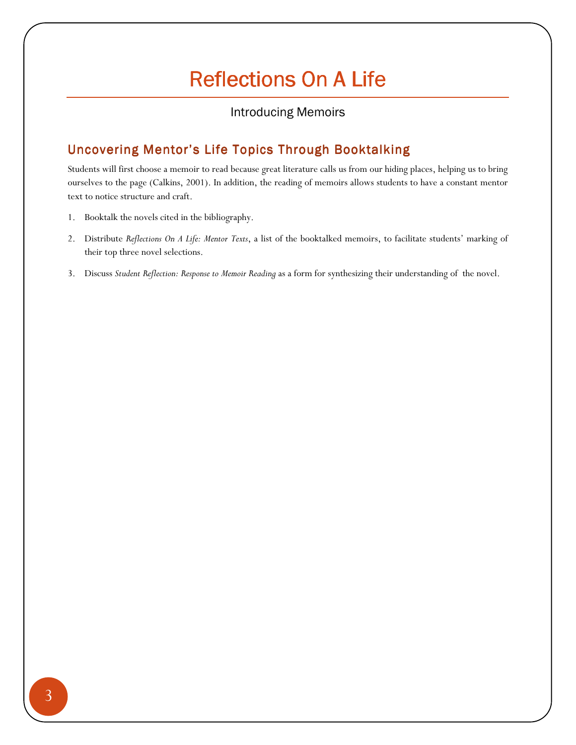### Introducing Memoirs

## Uncovering Mentor's Life Topics Through Booktalking

Students will first choose a memoir to read because great literature calls us from our hiding places, helping us to bring ourselves to the page (Calkins, 2001). In addition, the reading of memoirs allows students to have a constant mentor text to notice structure and craft.

- 1. Booktalk the novels cited in the bibliography.
- 2. Distribute Reflections On A Life: Mentor Texts, a list of the booktalked memoirs, to facilitate students' marking of their top three novel selections.
- 3. Discuss Student Reflection: Response to Memoir Reading as a form for synthesizing their understanding of the novel.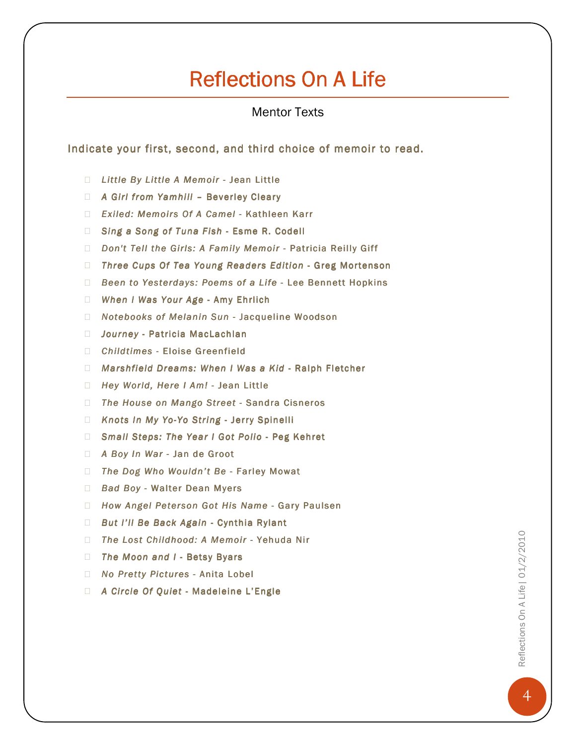Mentor Texts

Indicate your first, second, and third choice of memoir to read.

Little By Little A Memoir - Jean Little A Girl from Yamhill - Beverley Cleary Exiled: Memoirs Of A Camel - Kathleen Karr Sing a Song of Tuna Fish - Esme R. Codell Don't Tell the Girls: A Family Memoir - Patricia Reilly Giff Three Cups Of Tea Young Readers Edition - Greg Mortenson Been to Yesterdays: Poems of a Life - Lee Bennett Hopkins When I Was Your Age - Amy Ehrlich Notebooks of Melanin Sun - Jacqueline Woodson Journey - Patricia MacLachlan Childtimes - Eloise Greenfield Marshfield Dreams: When I Was a Kid - Ralph Fletcher Hey World, Here I Am! - Jean Little The House on Mango Street - Sandra Cisneros Knots In My Yo-Yo String - Jerry Spinelli Small Steps: The Year I Got Polio - Peg Kehret A Boy In War - Jan de Groot The Dog Who Wouldn't Be - Farley Mowat Bad Boy - Walter Dean Myers How Angel Peterson Got His Name - Gary Paulsen But I'll Be Back Again - Cynthia Rylant The Lost Childhood: A Memoir - Yehuda Nir The Moon and I - Betsy Byars No Pretty Pictures - Anita Lobel A Circle Of Quiet - Madeleine L'Engle

Reflections On A Life| 01/2/2010 Reflections On A Life | 01/2/2010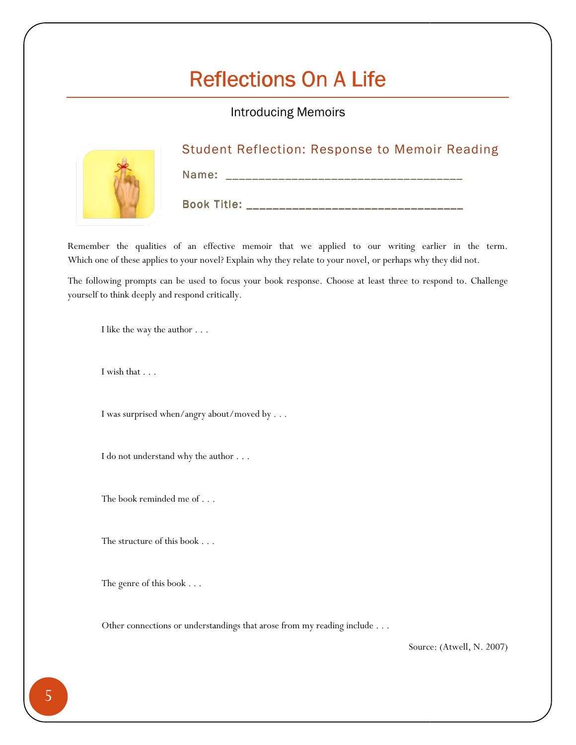Introducing Memoirs



## Student Reflection: Response to Memoir Reading

Name: \_\_\_\_\_\_\_\_\_\_\_\_\_\_\_\_\_\_\_\_\_\_\_\_\_\_\_\_\_\_\_\_\_\_\_\_ \_\_\_\_\_\_\_\_\_\_\_\_\_\_\_\_\_\_\_\_\_\_\_\_\_\_\_\_\_\_\_\_\_\_\_\_

Book Title: \_\_\_\_\_\_\_\_\_\_\_\_\_\_\_\_\_\_\_\_\_\_\_\_\_\_\_\_\_\_\_\_\_\_\_

Remember the qualities of an effective memoir that we applied to our writing earlier in the term. Which one of these applies to your novel? Explain why they relate to your novel, or perhaps why they did not.

The following prompts can be used to focus your book response. Choose at least three to respond to. Challenge yourself to think deeply and respond critically. yourself to think deeply and respond critically.<br>
I like the way the author . . .<br>
I was surprised when/angry about/moved by . . .<br>
I do not understand why the author . . .<br>
The book reminded me of . . .<br>
The structure of g prompts can be used to focus your book response. Choose at least three to respond to. Challenge<br>ink deeply and respond critically.<br>  $\begin{split} \text{the way the author}\ \ldots \end{split}$   $\begin{split} \text{substituting the following:} \end{split}$   $\begin{split} \text{substituting the author}\ \ldots \end{split}$ 

I like the way the author . . .

I wish that . . .

I was surprised when/angry about/moved by . . .

I do not understand why the author . . .

The book reminded me of . . .

The structure of this book . . .

The genre of this book . . .

Other connections or understandings that arose from my reading include . . .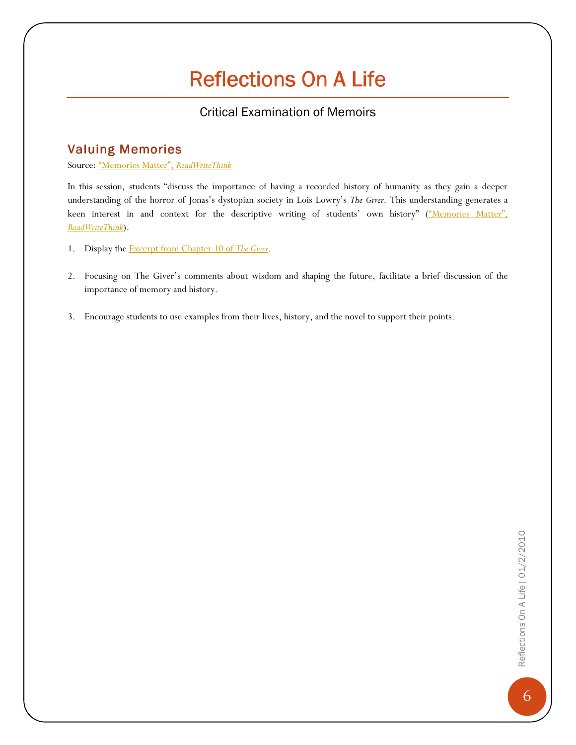## Critical Examination of Memoirs

## **Valuing Memories**

#### Source: "Memories Matter", ReadWriteThink

In this session, students "discuss the importance of having a recorded history of humanity as they gain a deeper understanding of the horror of Jonas's dystopian society in Lois Lowry's The Giver. This understanding generates a keen interest in and context for the descriptive writing of students' own history" ("Memories Matter", ReadWriteThink).

- 1. Display the Excerpt from Chapter 10 of The Giver.
- 2. Focusing on The Giver's comments about wisdom and shaping the future, facilitate a brief discussion of the importance of memory and history.
- 3. Encourage students to use examples from their lives, history, and the novel to support their points.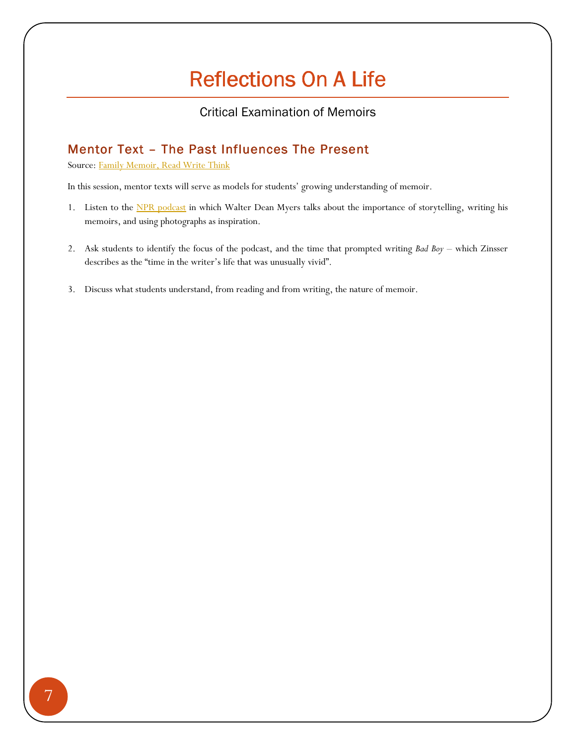### Critical Examination of Memoirs

## Mentor Text - The Past Influences The Present

Source: Family Memoir, Read Write Think

In this session, mentor texts will serve as models for students' growing understanding of memoir.

- 1. Listen to the NPR podcast in which Walter Dean Myers talks about the importance of storytelling, writing his memoirs, and using photographs as inspiration.
- 2. Ask students to identify the focus of the podcast, and the time that prompted writing Bad Boy which Zinsser describes as the "time in the writer's life that was unusually vivid".
- 3. Discuss what students understand, from reading and from writing, the nature of memoir.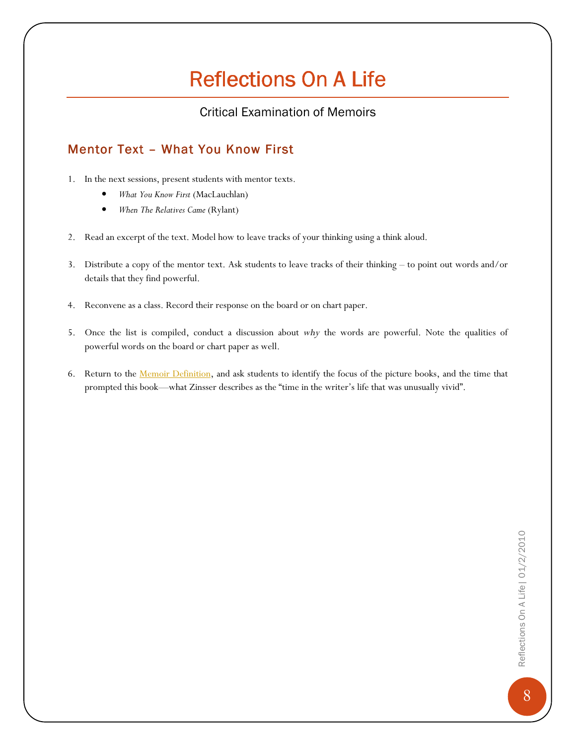### Critical Examination of Memoirs

## Mentor Text - What You Know First

- 1. In the next sessions, present students with mentor texts.
	- What You Know First (MacLauchlan)
	- When The Relatives Came (Rylant)
- 2. Read an excerpt of the text. Model how to leave tracks of your thinking using a think aloud.
- 3. Distribute a copy of the mentor text. Ask students to leave tracks of their thinking to point out words and/or details that they find powerful.
- 4. Reconvene as a class. Record their response on the board or on chart paper.
- 5. Once the list is compiled, conduct a discussion about why the words are powerful. Note the qualities of powerful words on the board or chart paper as well.
- 6. Return to the Memoir Definition, and ask students to identify the focus of the picture books, and the time that prompted this book—what Zinsser describes as the "time in the writer's life that was unusually vivid".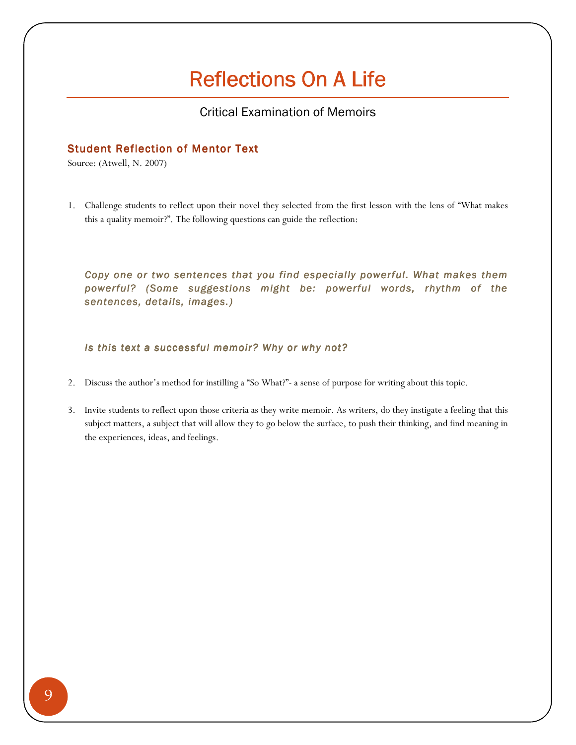### Critical Examination of Memoirs

#### **Student Reflection of Mentor Text**

Source: (Atwell, N. 2007)

1. Challenge students to reflect upon their novel they selected from the first lesson with the lens of "What makes this a quality memoir?". The following questions can guide the reflection:

Copy one or two sentences that you find especially powerful. What makes them powerful? (Some suggestions might be: powerful words, rhythm of the sentences, details, images.)

Is this text a successful memoir? Why or why not?

- 2. Discuss the author's method for instilling a "So What?"- a sense of purpose for writing about this topic.
- 3. Invite students to reflect upon those criteria as they write memoir. As writers, do they instigate a feeling that this subject matters, a subject that will allow they to go below the surface, to push their thinking, and find meaning in the experiences, ideas, and feelings.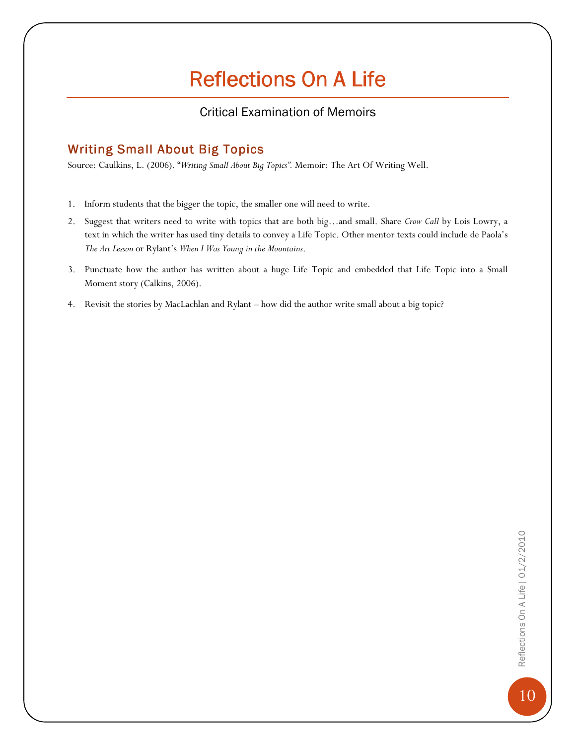## Critical Examination of Memoirs

## **Writing Small About Big Topics**

Source: Caulkins, L. (2006). "Writing Small About Big Topics". Memoir: The Art Of Writing Well.

- 1. Inform students that the bigger the topic, the smaller one will need to write.
- 2. Suggest that writers need to write with topics that are both big...and small. Share Crow Call by Lois Lowry, a text in which the writer has used tiny details to convey a Life Topic. Other mentor texts could include de Paola's The Art Lesson or Rylant's When I Was Young in the Mountains.
- 3. Punctuate how the author has written about a huge Life Topic and embedded that Life Topic into a Small Moment story (Calkins, 2006).
- 4. Revisit the stories by MacLachlan and Rylant how did the author write small about a big topic?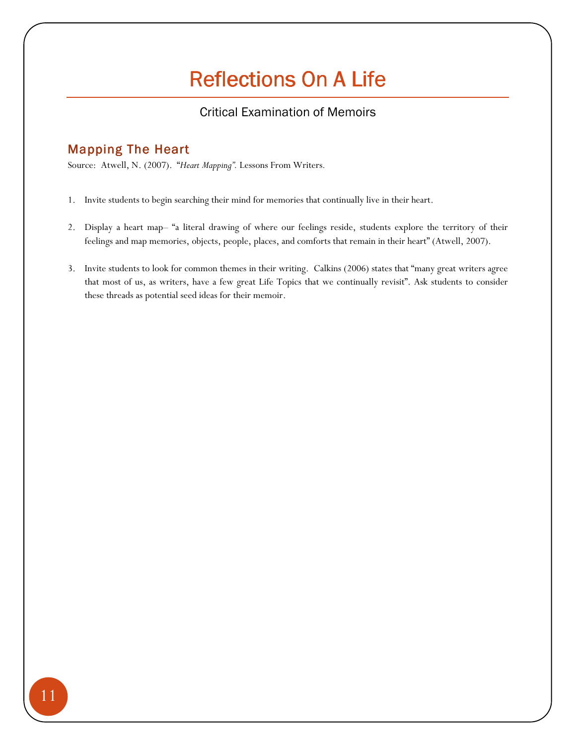## Critical Examination of Memoirs

## **Mapping The Heart**

Source: Atwell, N. (2007). "Heart Mapping". Lessons From Writers.

- 1. Invite students to begin searching their mind for memories that continually live in their heart.
- 2. Display a heart map– "a literal drawing of where our feelings reside, students explore the territory of their feelings and map memories, objects, people, places, and comforts that remain in their heart" (Atwell, 2007).
- 3. Invite students to look for common themes in their writing. Calkins (2006) states that "many great writers agree that most of us, as writers, have a few great Life Topics that we continually revisit". Ask students to consider these threads as potential seed ideas for their memoir.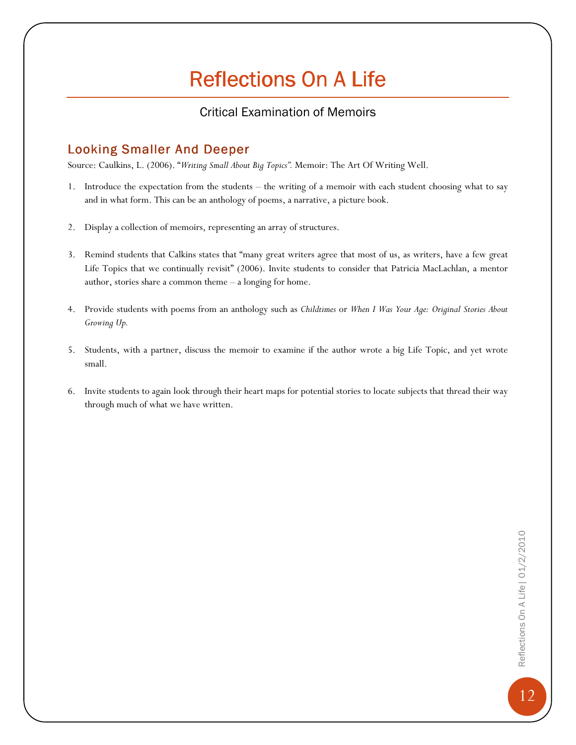### Critical Examination of Memoirs

### Looking Smaller And Deeper

Source: Caulkins, L. (2006). "Writing Small About Big Topics". Memoir: The Art Of Writing Well.

- 1. Introduce the expectation from the students the writing of a memoir with each student choosing what to say and in what form. This can be an anthology of poems, a narrative, a picture book.
- 2. Display a collection of memoirs, representing an array of structures.
- 3. Remind students that Calkins states that "many great writers agree that most of us, as writers, have a few great Life Topics that we continually revisit" (2006). Invite students to consider that Patricia MacLachlan, a mentor author, stories share a common theme – a longing for home.
- 4. Provide students with poems from an anthology such as Childtimes or When I Was Your Age: Original Stories About Growing Up.
- 5. Students, with a partner, discuss the memoir to examine if the author wrote a big Life Topic, and yet wrote small.
- 6. Invite students to again look through their heart maps for potential stories to locate subjects that thread their way through much of what we have written.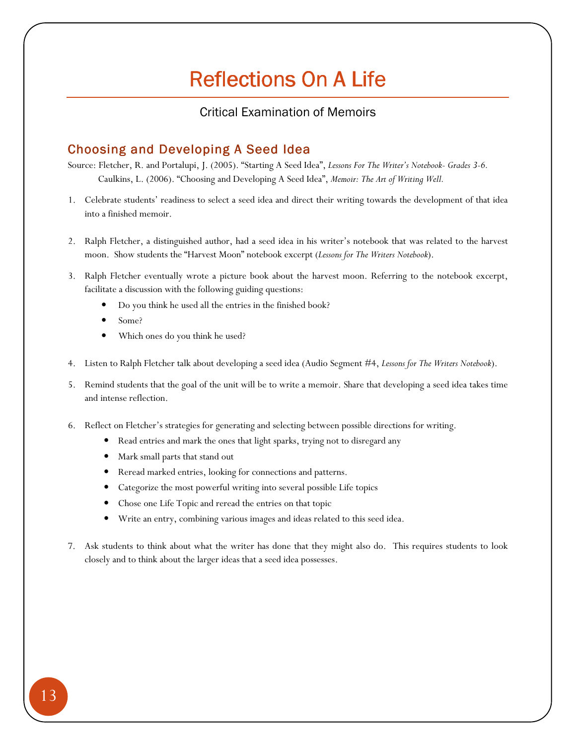### Critical Examination of Memoirs

### Choosing and Developing A Seed Idea

Source: Fletcher, R. and Portalupi, J. (2005). "Starting A Seed Idea", Lessons For The Writer's Notebook- Grades 3-6. Caulkins, L. (2006). "Choosing and Developing A Seed Idea", Memoir: The Art of Writing Well.

- 1. Celebrate students' readiness to select a seed idea and direct their writing towards the development of that idea into a finished memoir.
- 2. Ralph Fletcher, a distinguished author, had a seed idea in his writer's notebook that was related to the harvest moon. Show students the "Harvest Moon" notebook excerpt (Lessons for The Writers Notebook).
- 3. Ralph Fletcher eventually wrote a picture book about the harvest moon. Referring to the notebook excerpt, facilitate a discussion with the following guiding questions:
	- Do you think he used all the entries in the finished book?
	- Some?
	- Which ones do you think he used?
- 4. Listen to Ralph Fletcher talk about developing a seed idea (Audio Segment #4, Lessons for The Writers Notebook).
- 5. Remind students that the goal of the unit will be to write a memoir. Share that developing a seed idea takes time and intense reflection.
- 6. Reflect on Fletcher's strategies for generating and selecting between possible directions for writing.
	- Read entries and mark the ones that light sparks, trying not to disregard any
	- Mark small parts that stand out
	- Reread marked entries, looking for connections and patterns.
	- Categorize the most powerful writing into several possible Life topics
	- Chose one Life Topic and reread the entries on that topic
	- Write an entry, combining various images and ideas related to this seed idea.
- 7. Ask students to think about what the writer has done that they might also do. This requires students to look closely and to think about the larger ideas that a seed idea possesses.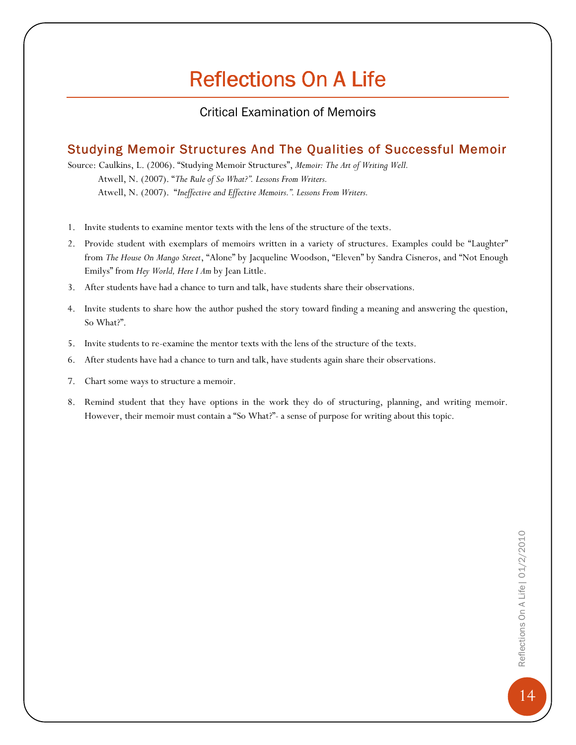### Critical Examination of Memoirs

## Studying Memoir Structures And The Qualities of Successful Memoir

Source: Caulkins, L. (2006). "Studying Memoir Structures", Memoir: The Art of Writing Well. Atwell, N. (2007). "The Rule of So What?". Lessons From Writers. Atwell, N. (2007). "Ineffective and Effective Memoirs.". Lessons From Writers.

- 1. Invite students to examine mentor texts with the lens of the structure of the texts.
- 2. Provide student with exemplars of memoirs written in a variety of structures. Examples could be "Laughter" from The House On Mango Street, "Alone" by Jacqueline Woodson, "Eleven" by Sandra Cisneros, and "Not Enough Emilys" from Hey World, Here I Am by Jean Little.
- 3. After students have had a chance to turn and talk, have students share their observations.
- 4. Invite students to share how the author pushed the story toward finding a meaning and answering the question, So What?".
- 5. Invite students to re-examine the mentor texts with the lens of the structure of the texts.
- 6. After students have had a chance to turn and talk, have students again share their observations.
- 7. Chart some ways to structure a memoir.
- 8. Remind student that they have options in the work they do of structuring, planning, and writing memoir. However, their memoir must contain a "So What?"- a sense of purpose for writing about this topic.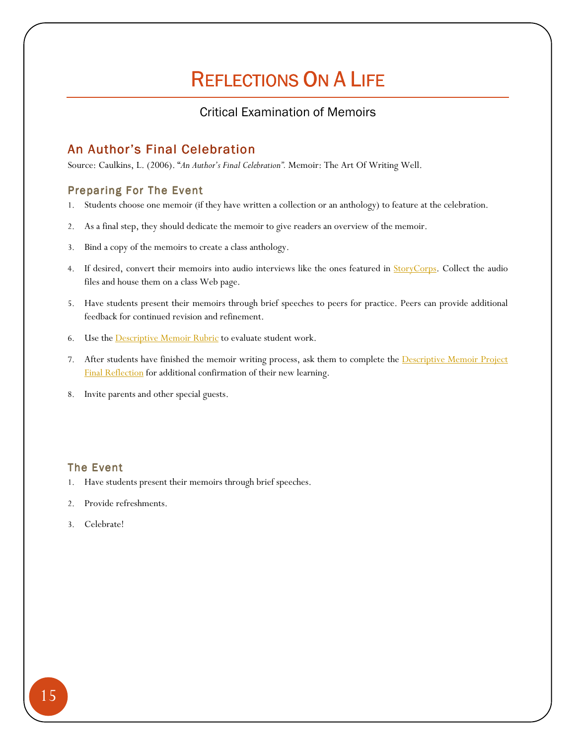## REFLECTIONS ON A LIFE

### Critical Examination of Memoirs

## An Author's Final Celebration

Source: Caulkins, L. (2006). "An Author's Final Celebration". Memoir: The Art Of Writing Well.

#### Preparing For The Event

- 1. Students choose one memoir (if they have written a collection or an anthology) to feature at the celebration.
- 2. As a final step, they should dedicate the memoir to give readers an overview of the memoir.
- 3. Bind a copy of the memoirs to create a class anthology.
- 4. If desired, convert their memoirs into audio interviews like the ones featured in **StoryCorps**. Collect the audio files and house them on a class Web page.
- 5. Have students present their memoirs through brief speeches to peers for practice. Peers can provide additional feedback for continued revision and refinement.
- 6. Use the **Descriptive Memoir Rubric** to evaluate student work.
- 7. After students have finished the memoir writing process, ask them to complete the **Descriptive Memoir Project** Final Reflection for additional confirmation of their new learning.
- 8. Invite parents and other special guests.

#### The Event

- 1. Have students present their memoirs through brief speeches.
- 2. Provide refreshments.
- 3. Celebrate!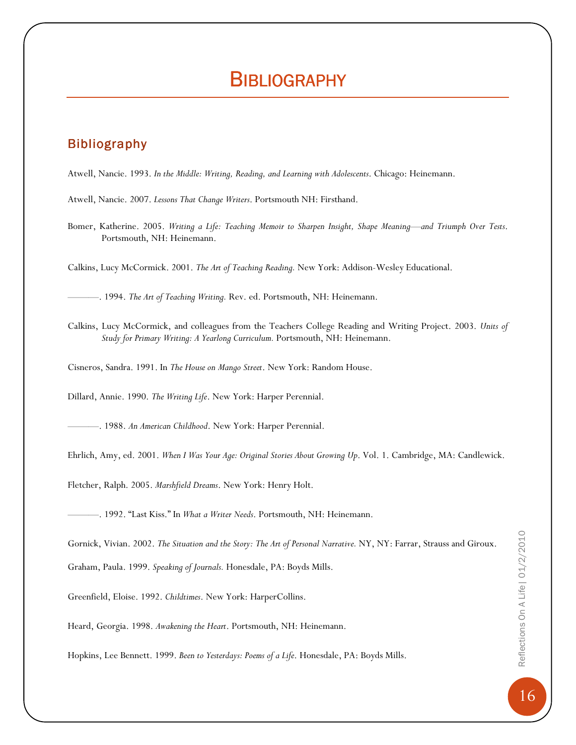## **BIBLIOGRAPHY**

### **Bibliography**

Atwell, Nancie. 1993. In the Middle: Writing, Reading, and Learning with Adolescents. Chicago: Heinemann.

- Atwell, Nancie. 2007. Lessons That Change Writers. Portsmouth NH: Firsthand.
- Bomer, Katherine. 2005. Writing a Life: Teaching Memoir to Sharpen Insight, Shape Meaning—and Triumph Over Tests. Portsmouth, NH: Heinemann.

Calkins, Lucy McCormick. 2001. The Art of Teaching Reading. New York: Addison-Wesley Educational.

-. 1994. The Art of Teaching Writing. Rev. ed. Portsmouth, NH: Heinemann.

Calkins, Lucy McCormick, and colleagues from the Teachers College Reading and Writing Project. 2003. Units of Study for Primary Writing: A Yearlong Curriculum. Portsmouth, NH: Heinemann.

Cisneros, Sandra. 1991. In The House on Mango Street. New York: Random House.

Dillard, Annie. 1990. The Writing Life. New York: Harper Perennial.

———. 1988. An American Childhood. New York: Harper Perennial.

Ehrlich, Amy, ed. 2001. When I Was Your Age: Original Stories About Growing Up. Vol. 1. Cambridge, MA: Candlewick.

Fletcher, Ralph. 2005. Marshfield Dreams. New York: Henry Holt.

-. 1992. "Last Kiss." In What a Writer Needs. Portsmouth, NH: Heinemann.

Gornick, Vivian. 2002. The Situation and the Story: The Art of Personal Narrative. NY, NY: Farrar, Strauss and Giroux.

Graham, Paula. 1999. Speaking of Journals. Honesdale, PA: Boyds Mills.

Greenfield, Eloise. 1992. Childtimes. New York: HarperCollins.

Heard, Georgia. 1998. Awakening the Heart. Portsmouth, NH: Heinemann.

Hopkins, Lee Bennett. 1999. Been to Yesterdays: Poems of a Life. Honesdale, PA: Boyds Mills.